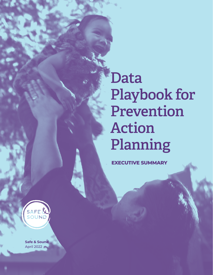**Data Playbook for Prevention Action Planning**

**EXECUTIVE SUMMARY**



**Safe & Sound** April 2022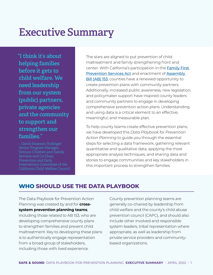# **Executive Summary**

**"I think it's about helping families before it gets to child welfare. We need leadership from our system (public) partners, private agencies and the community to support and strengthen our families."** 

— David Swanson Hollinger Senior Program Manager, Ventura Children and Family Services and Co-Chair, Prevention and Early Intervention Committee of the California Child Welfare Council The stars are aligned to put prevention of child maltreatment and family strengthening front and center. With California's participation in the **Family First** [Prevention Services Act](https://www.cdss.ca.gov/inforesources/ffpsa) and enactment of [Assembly](https://leginfo.legislature.ca.gov/faces/billTextClient.xhtml?bill_id=202120220AB153)  **[Bill \(AB\) 153](https://leginfo.legislature.ca.gov/faces/billTextClient.xhtml?bill_id=202120220AB153), counties have a renewed opportunity to** create prevention plans with community partners. Additionally, increased public awareness, new legislation, and policymaker support have inspired county leaders and community partners to engage in developing comprehensive prevention action plans. Understanding and using data is a critical element to an effective, meaningful, and measurable plan.

To help county teams create effective prevention plans, we have developed this *Data Playbook for Prevention Action Planning* to guide you through the essential steps for selecting a data framework, gathering relevant quantitative and qualitative data, applying the most appropriate analysis techniques, and sharing data and stories to engage communities and key stakeholders in this important process to strengthen families.

## **WHO SHOULD USE THE DATA PLAYBOOK**

The Data Playbook for Prevention Action Planning was created by and for **crosssystem prevention planning teams**, including those related to AB 153, who are developing comprehensive county plans to strengthen families and prevent child maltreatment. Key to developing these plans is to authentically engage representation from a broad group of stakeholders, including those with lived experience.

County prevention planning teams are generally co-chaired by leadership from child welfare and the county's child abuse prevention council (CAPC), and should also include other involved and responsible system leaders, tribal representation where appropriate, as well as leadership from private service providers and communitybased organizations.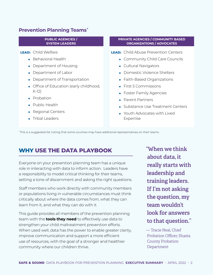## **Prevention Planning Teams\***

#### **PUBLIC AGENCIES / SYSTEM LEADERS**

**LEAD:** Child Welfare

- **•** Behavioral Health
- **•** Department of Housing
- **•** Department of Labor
- **•** Department of Transportation
- **•** Office of Education (early childhood, K-12)
- **•** Probation
- **•** Public Health
- **•** Regional Centers
- Tribal Leaders

#### **PRIVATE AGENCIES / COMMUNITY BASED ORGANIZATIONS / ADVOCATES**

**LEAD:** Child Abuse Prevention Centers

- **•** Community Child Care Councils
- **•** Cultural Navigators
- **•** Domestic Violence Shelters
- **•** Faith-Based Organizations
- **•** First 5 Commissions
- **•** Foster Family Agencies
- **•** Parent Partners
- **•** Substance Use Treatment Centers
- **•** Youth Advocates with Lived Expertise

\* This is a suggested list noting that some counties may have additional representatives on their teams.

## **WHY USE THE DATA PLAYBOOK**

Everyone on your prevention planning team has a unique role in interacting with data to inform action. Leaders have a responsibility to model critical thinking for their teams, setting a tone of discernment and asking the right questions.

Staff members who work directly with community members or populations living in vulnerable circumstances must think critically about where the data comes from, what they can learn from it, and what they can do with it.

This guide provides all members of the prevention planning team with the **tools they need** to effectively use data to strengthen your child maltreatment prevention efforts. When used well, data has the power to enable greater clarity, improve communication and support a more efficient use of resources, with the goal of a stronger and healthier community where our children thrive.

**"When we think about data, it really starts with leadership and training leaders. If I'm not asking the question, my team wouldn't look for answers to that question."** 

— Tracie Neal, Chief Probation Officer, Shasta County Probation Department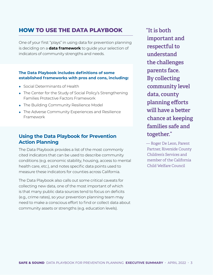# **HOW TO USE THE DATA PLAYBOOK**

One of your first "plays" in using data for prevention planning is deciding on a **data framework** to guide your selection of indicators of community strengths and needs.

### **The Data Playbook includes definitions of some established frameworks with pros and cons, including:**

- **•** Social Determinants of Health
- **•** The Center for the Study of Social Policy's Strengthening Families Protective Factors Framework
- **•** The Building Community Resilience Model
- **•** The Adverse Community Experiences and Resilience Framework

## **Using the Data Playbook for Prevention Action Planning**

The Data Playbook provides a list of the most commonly cited indicators that can be used to describe community conditions (e.g. economic stability, housing, access to mental health care, etc.), and notes specific data points used to measure these indicators for counties across California.

The Data Playbook also calls out some critical caveats for collecting new data, one of the most important of which is that many public data sources tend to focus on deficits (e.g., crime rates), so your prevention planning team may need to make a conscious effort to find or collect data about community assets or strengths (e.g. education levels).

**"It is both important and respectful to understand the challenges parents face. By collecting community level data, county planning efforts will have a better chance at keeping families safe and together."** 

— Roger De Leon, Parent Partner, Riverside County Children's Services and member of the California Child Welfare Council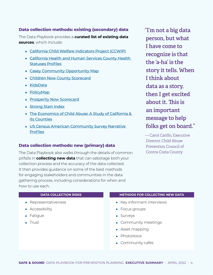## **Data collection methods: existing (secondary) data**

The Data Playbook provides a **curated list of existing data sources**, which include:

- **•** [California Child Welfare Indicators Project \(CCWIP\)](https://ccwip.berkeley.edu/childwelfare/index/r)
- **•** [California Health and Human Services County Health](https://data.chhs.ca.gov/dataset/county-health-status-profiles)  [Statuses Profiles](https://data.chhs.ca.gov/dataset/county-health-status-profiles)
- **•** [Casey Community Opportunity Map](https://caseyfamily.caimaps.info/cailive?location=Seattle&tab=economy&searchType=city)
- **•** [Children Now County Scorecard](https://scorecard.childrennow.org/?ind=FRPMSchoolYear&yr=1)
- **•** [KidsData](https://www.kidsdata.org/)
- **•** [PolicyMap](https://www.policymap.com/)
- **•** [Prosperity Now Scorecard](https://scorecard.prosperitynow.org/data-by-location#state/ca)
- **•** [Strong Start Index](https://strongstartindex.org/)
- **•** [The Economics of Child Abuse: A Study of California &](https://economics.safeandsound.org/)  [its Counties](https://economics.safeandsound.org/)
- **•** [US Census American Community Survey Narrative](https://www.census.gov/acs/www/data/data-tables-and-tools/narrative-profiles/)  **[Profiles](https://www.census.gov/acs/www/data/data-tables-and-tools/narrative-profiles/)**

#### **Data collection methods: new (primary) data**

The Data Playbook also walks through the details of common pitfalls in **collecting new data** that can sabotage both your collection process and the accuracy of the data collected. It then provides guidance on some of the best methods for engaging stakeholders and communities in the data gathering process, including considerations for when and how to use each.

**"I'm not a big data person, but what I have come to recognize is that the 'a-ha' is the story it tells. When I think about data as a story, then I get excited about it. This is an important message to help folks get on board."** 

— Carol Carillo, Executive Director, Child Abuse Prevention Council of Contra Costa County

| <b>DATA COLLECTION RISKS</b> | <b>METHODS FOR COLLECTING NEW DATA</b> |
|------------------------------|----------------------------------------|
| • Representativeness         | • Key informant interviews             |
| • Accessibility              | • Focus groups                         |
| • Fatigue                    | • Surveys                              |
| $\bullet$ Trust              | • Community meetings                   |
|                              | • Asset mapping                        |
|                              |                                        |

- **•** PhotoVoice
- **•** Community cafés